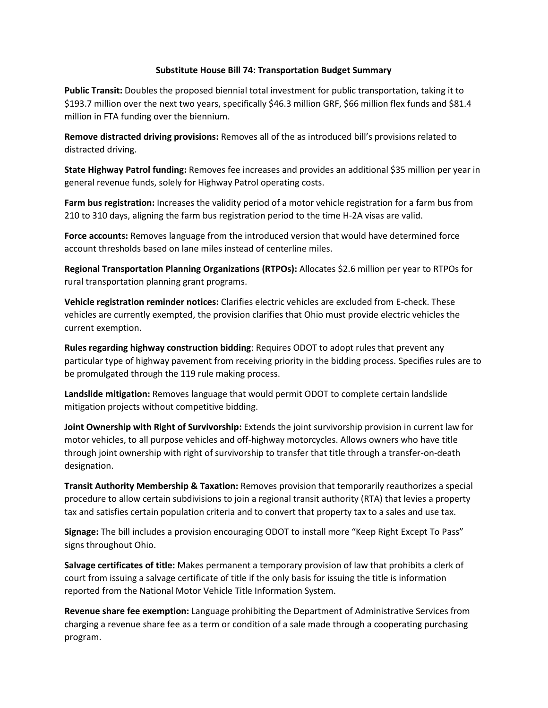## **Substitute House Bill 74: Transportation Budget Summary**

**Public Transit:** Doubles the proposed biennial total investment for public transportation, taking it to \$193.7 million over the next two years, specifically \$46.3 million GRF, \$66 million flex funds and \$81.4 million in FTA funding over the biennium.

**Remove distracted driving provisions:** Removes all of the as introduced bill's provisions related to distracted driving.

**State Highway Patrol funding:** Removes fee increases and provides an additional \$35 million per year in general revenue funds, solely for Highway Patrol operating costs.

**Farm bus registration:** Increases the validity period of a motor vehicle registration for a farm bus from 210 to 310 days, aligning the farm bus registration period to the time H-2A visas are valid.

**Force accounts:** Removes language from the introduced version that would have determined force account thresholds based on lane miles instead of centerline miles.

**Regional Transportation Planning Organizations (RTPOs):** Allocates \$2.6 million per year to RTPOs for rural transportation planning grant programs.

**Vehicle registration reminder notices:** Clarifies electric vehicles are excluded from E-check. These vehicles are currently exempted, the provision clarifies that Ohio must provide electric vehicles the current exemption.

**Rules regarding highway construction bidding**: Requires ODOT to adopt rules that prevent any particular type of highway pavement from receiving priority in the bidding process. Specifies rules are to be promulgated through the 119 rule making process.

**Landslide mitigation:** Removes language that would permit ODOT to complete certain landslide mitigation projects without competitive bidding.

**Joint Ownership with Right of Survivorship:** Extends the joint survivorship provision in current law for motor vehicles, to all purpose vehicles and off-highway motorcycles. Allows owners who have title through joint ownership with right of survivorship to transfer that title through a transfer-on-death designation.

**Transit Authority Membership & Taxation:** Removes provision that temporarily reauthorizes a special procedure to allow certain subdivisions to join a regional transit authority (RTA) that levies a property tax and satisfies certain population criteria and to convert that property tax to a sales and use tax.

**Signage:** The bill includes a provision encouraging ODOT to install more "Keep Right Except To Pass" signs throughout Ohio.

**Salvage certificates of title:** Makes permanent a temporary provision of law that prohibits a clerk of court from issuing a salvage certificate of title if the only basis for issuing the title is information reported from the National Motor Vehicle Title Information System.

**Revenue share fee exemption:** Language prohibiting the Department of Administrative Services from charging a revenue share fee as a term or condition of a sale made through a cooperating purchasing program.